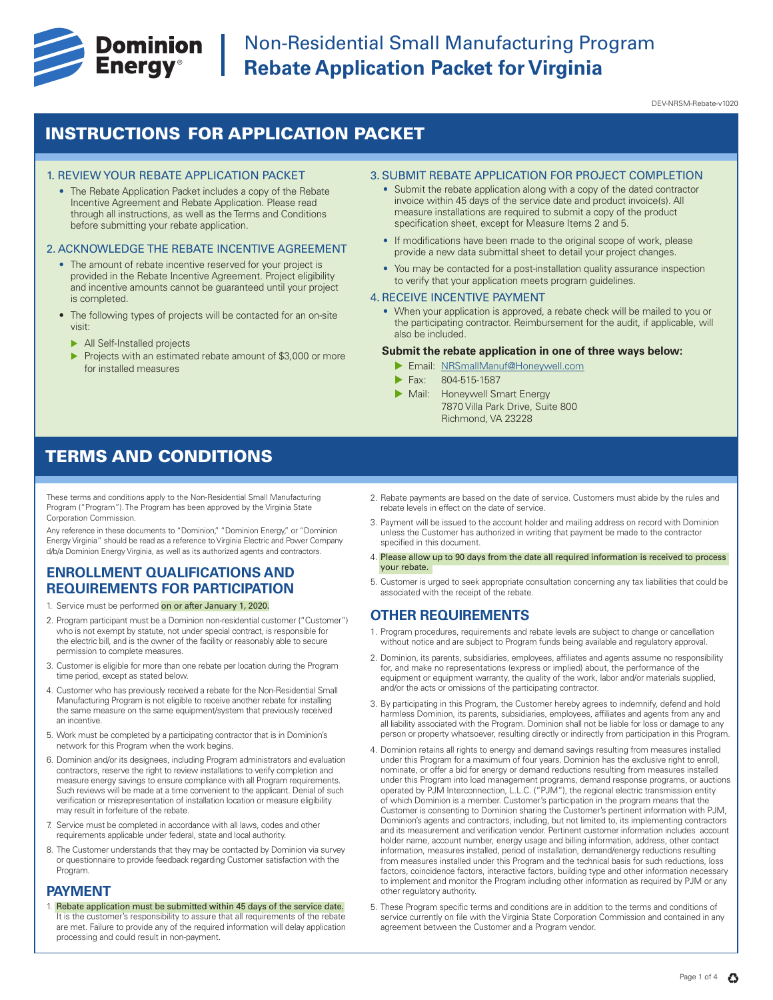

DEV-NRSM-Rebate-v1020

## INSTRUCTIONS FOR APPLICATION PACKET

#### 1. REVIEW YOUR REBATE APPLICATION PACKET

• The Rebate Application Packet includes a copy of the Rebate Incentive Agreement and Rebate Application. Please read through all instructions, as well as the Terms and Conditions before submitting your rebate application.

#### 2. ACKNOWLEDGE THE REBATE INCENTIVE AGREEMENT

- The amount of rebate incentive reserved for your project is provided in the Rebate Incentive Agreement. Project eligibility and incentive amounts cannot be guaranteed until your project is completed.
- The following types of projects will be contacted for an on-site visit:
	- $\blacktriangleright$  All Self-Installed projects
	- Projects with an estimated rebate amount of \$3,000 or more for installed measures

#### 3. SUBMIT REBATE APPLICATION FOR PROJECT COMPLETION

- Submit the rebate application along with a copy of the dated contractor invoice within 45 days of the service date and product invoice(s). All measure installations are required to submit a copy of the product specification sheet, except for Measure Items 2 and 5.
- If modifications have been made to the original scope of work, please provide a new data submittal sheet to detail your project changes.
- You may be contacted for a post-installation quality assurance inspection to verify that your application meets program guidelines.

#### 4. RECEIVE INCENTIVE PAYMENT

• When your application is approved, a rebate check will be mailed to you or the participating contractor. Reimbursement for the audit, if applicable, will also be included.

#### **Submit the rebate application in one of three ways below:**

- **Email: NRSmallManuf@Honeywell.com**
- Fax: 804-515-1587
- Mail: Honeywell Smart Energy 7870 Villa Park Drive, Suite 800 Richmond, VA 23228

## TERMS AND CONDITIONS

These terms and conditions apply to the Non-Residential Small Manufacturing Program ("Program"). The Program has been approved by the Virginia State Corporation Commission.

Any reference in these documents to "Dominion," "Dominion Energy," or "Dominion Energy Virginia" should be read as a reference to Virginia Electric and Power Company d/b/a Dominion Energy Virginia, as well as its authorized agents and contractors.

## **ENROLLMENT QUALIFICATIONS AND REQUIREMENTS FOR PARTICIPATION**

- 1. Service must be performed on or after January 1, 2020.
- 2. Program participant must be a Dominion non-residential customer ("Customer") who is not exempt by statute, not under special contract, is responsible for the electric bill, and is the owner of the facility or reasonably able to secure permission to complete measures.
- 3. Customer is eligible for more than one rebate per location during the Program time period, except as stated below.
- 4. Customer who has previously received a rebate for the Non-Residential Small Manufacturing Program is not eligible to receive another rebate for installing the same measure on the same equipment/system that previously received an incentive.
- 5. Work must be completed by a participating contractor that is in Dominion's network for this Program when the work begins.
- 6. Dominion and/or its designees, including Program administrators and evaluation contractors, reserve the right to review installations to verify completion and measure energy savings to ensure compliance with all Program requirements. Such reviews will be made at a time convenient to the applicant. Denial of such verification or misrepresentation of installation location or measure eligibility may result in forfeiture of the rebate.
- 7. Service must be completed in accordance with all laws, codes and other requirements applicable under federal, state and local authority.
- 8. The Customer understands that they may be contacted by Dominion via survey or questionnaire to provide feedback regarding Customer satisfaction with the Program.

#### **PAYMENT**

1. Rebate application must be submitted within 45 days of the service date. It is the customer's responsibility to assure that all requirements of the rebate are met. Failure to provide any of the required information will delay application processing and could result in non-payment.

- 2. Rebate payments are based on the date of service. Customers must abide by the rules and rebate levels in effect on the date of service.
- 3. Payment will be issued to the account holder and mailing address on record with Dominion unless the Customer has authorized in writing that payment be made to the contractor specified in this document.
- 4. Please allow up to 90 days from the date all required information is received to process your rebate.
- 5. Customer is urged to seek appropriate consultation concerning any tax liabilities that could be associated with the receipt of the rebate.

### **OTHER REQUIREMENTS**

- 1. Program procedures, requirements and rebate levels are subject to change or cancellation without notice and are subject to Program funds being available and regulatory approval.
- 2. Dominion, its parents, subsidiaries, employees, affiliates and agents assume no responsibility for, and make no representations (express or implied) about, the performance of the equipment or equipment warranty, the quality of the work, labor and/or materials supplied, and/or the acts or omissions of the participating contractor.
- 3. By participating in this Program, the Customer hereby agrees to indemnify, defend and hold harmless Dominion, its parents, subsidiaries, employees, affiliates and agents from any and all liability associated with the Program. Dominion shall not be liable for loss or damage to any person or property whatsoever, resulting directly or indirectly from participation in this Program.
- 4. Dominion retains all rights to energy and demand savings resulting from measures installed under this Program for a maximum of four years. Dominion has the exclusive right to enroll, nominate, or offer a bid for energy or demand reductions resulting from measures installed under this Program into load management programs, demand response programs, or auctions operated by PJM Interconnection, L.L.C. ("PJM"), the regional electric transmission entity of which Dominion is a member. Customer's participation in the program means that the Customer is consenting to Dominion sharing the Customer's pertinent information with PJM, Dominion's agents and contractors, including, but not limited to, its implementing contractors and its measurement and verification vendor. Pertinent customer information includes account holder name, account number, energy usage and billing information, address, other contact information, measures installed, period of installation, demand/energy reductions resulting from measures installed under this Program and the technical basis for such reductions, loss factors, coincidence factors, interactive factors, building type and other information necessary to implement and monitor the Program including other information as required by PJM or any other regulatory authority.
- 5. These Program specific terms and conditions are in addition to the terms and conditions of service currently on file with the Virginia State Corporation Commission and contained in any agreement between the Customer and a Program vendor.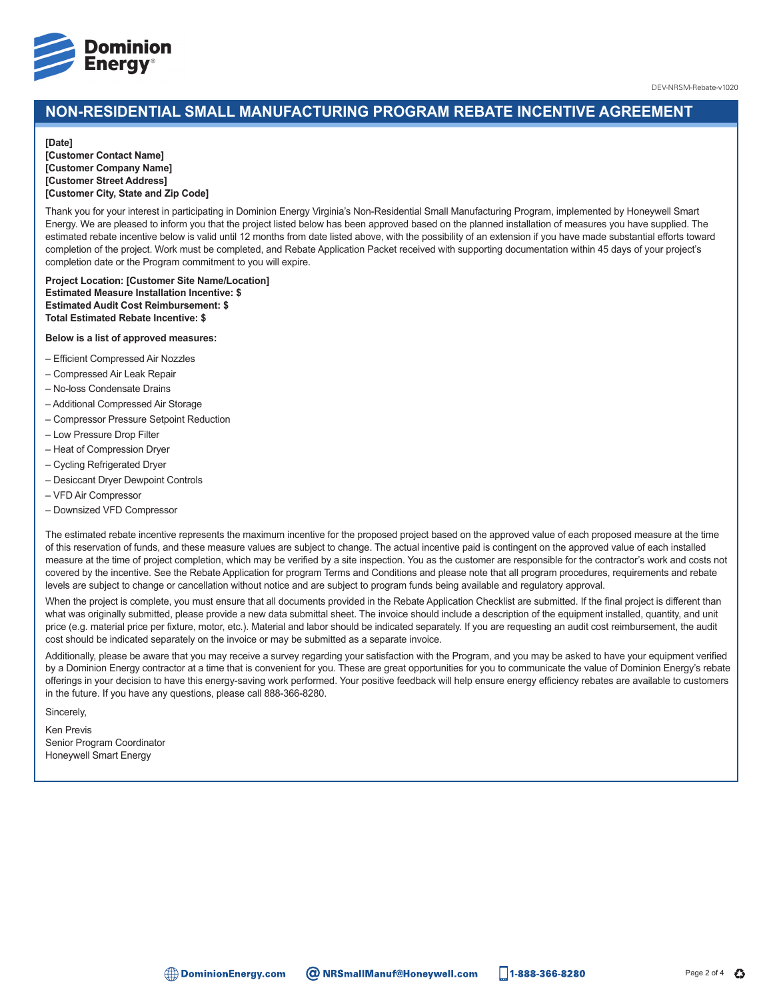

## **NON-RESIDENTIAL SMALL MANUFACTURING PROGRAM REBATE INCENTIVE AGREEMENT**

#### **[Date]**

**[Customer Contact Name] [Customer Company Name] [Customer Street Address] [Customer City, State and Zip Code]**

Thank you for your interest in participating in Dominion Energy Virginia's Non-Residential Small Manufacturing Program, implemented by Honeywell Smart Energy. We are pleased to inform you that the project listed below has been approved based on the planned installation of measures you have supplied. The estimated rebate incentive below is valid until 12 months from date listed above, with the possibility of an extension if you have made substantial efforts toward completion of the project. Work must be completed, and Rebate Application Packet received with supporting documentation within 45 days of your project's completion date or the Program commitment to you will expire.

**Project Location: [Customer Site Name/Location] Estimated Measure Installation Incentive: \$ Estimated Audit Cost Reimbursement: \$ Total Estimated Rebate Incentive: \$**

#### **Below is a list of approved measures:**

- Efficient Compressed Air Nozzles
- Compressed Air Leak Repair
- No-loss Condensate Drains
- Additional Compressed Air Storage
- Compressor Pressure Setpoint Reduction
- Low Pressure Drop Filter
- Heat of Compression Dryer
- Cycling Refrigerated Dryer
- Desiccant Dryer Dewpoint Controls
- VFD Air Compressor
- Downsized VFD Compressor

The estimated rebate incentive represents the maximum incentive for the proposed project based on the approved value of each proposed measure at the time of this reservation of funds, and these measure values are subject to change. The actual incentive paid is contingent on the approved value of each installed measure at the time of project completion, which may be verified by a site inspection. You as the customer are responsible for the contractor's work and costs not covered by the incentive. See the Rebate Application for program Terms and Conditions and please note that all program procedures, requirements and rebate levels are subject to change or cancellation without notice and are subject to program funds being available and regulatory approval.

When the project is complete, you must ensure that all documents provided in the Rebate Application Checklist are submitted. If the final project is different than what was originally submitted, please provide a new data submittal sheet. The invoice should include a description of the equipment installed, quantity, and unit price (e.g. material price per fixture, motor, etc.). Material and labor should be indicated separately. If you are requesting an audit cost reimbursement, the audit cost should be indicated separately on the invoice or may be submitted as a separate invoice.

Additionally, please be aware that you may receive a survey regarding your satisfaction with the Program, and you may be asked to have your equipment verified by a Dominion Energy contractor at a time that is convenient for you. These are great opportunities for you to communicate the value of Dominion Energy's rebate offerings in your decision to have this energy-saving work performed. Your positive feedback will help ensure energy efficiency rebates are available to customers in the future. If you have any questions, please call 888-366-8280.

Sincerely,

Ken Previs Senior Program Coordinator Honeywell Smart Energy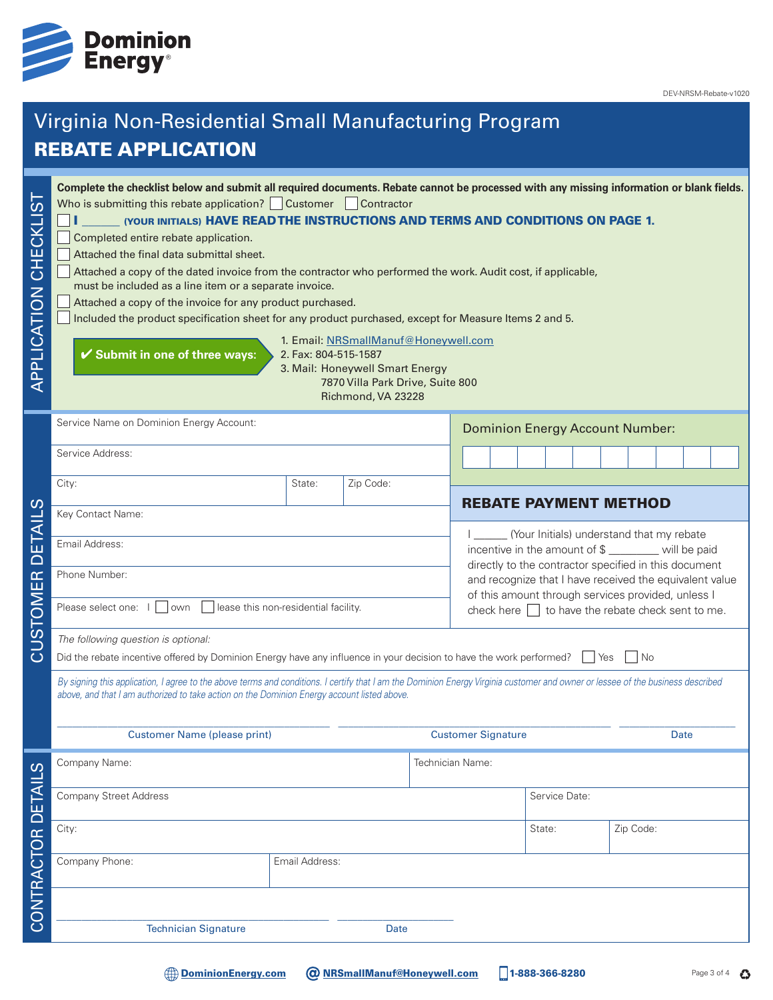

DEV-NRSM-Rebate-v1020

# Virginia Non-Residential Small Manufacturing Program REBATE APPLICATION

| .<br>()<br>APPLICATION CHECKLI | Complete the checklist below and submit all required documents. Rebate cannot be processed with any missing information or blank fields.<br>Who is submitting this rebate application? Customer Contractor<br>(YOUR INITIALS) HAVE READ THE INSTRUCTIONS AND TERMS AND CONDITIONS ON PAGE 1.<br>Completed entire rebate application.<br>Attached the final data submittal sheet.<br>Attached a copy of the dated invoice from the contractor who performed the work. Audit cost, if applicable,<br>must be included as a line item or a separate invoice.<br>Attached a copy of the invoice for any product purchased.<br>Included the product specification sheet for any product purchased, except for Measure Items 2 and 5.<br>1. Email: NRSmallManuf@Honeywell.com<br>✔ Submit in one of three ways:<br>2. Fax: 804-515-1587<br>3. Mail: Honeywell Smart Energy<br>7870 Villa Park Drive, Suite 800<br>Richmond, VA 23228 |                                                                                                                                      |                                                                                                                                                                         |           |                                           |                              |                                                                                                             |  |  |  |
|--------------------------------|--------------------------------------------------------------------------------------------------------------------------------------------------------------------------------------------------------------------------------------------------------------------------------------------------------------------------------------------------------------------------------------------------------------------------------------------------------------------------------------------------------------------------------------------------------------------------------------------------------------------------------------------------------------------------------------------------------------------------------------------------------------------------------------------------------------------------------------------------------------------------------------------------------------------------------|--------------------------------------------------------------------------------------------------------------------------------------|-------------------------------------------------------------------------------------------------------------------------------------------------------------------------|-----------|-------------------------------------------|------------------------------|-------------------------------------------------------------------------------------------------------------|--|--|--|
|                                | Service Name on Dominion Energy Account:                                                                                                                                                                                                                                                                                                                                                                                                                                                                                                                                                                                                                                                                                                                                                                                                                                                                                       |                                                                                                                                      |                                                                                                                                                                         |           | <b>Dominion Energy Account Number:</b>    |                              |                                                                                                             |  |  |  |
|                                | Service Address:                                                                                                                                                                                                                                                                                                                                                                                                                                                                                                                                                                                                                                                                                                                                                                                                                                                                                                               |                                                                                                                                      |                                                                                                                                                                         |           |                                           |                              |                                                                                                             |  |  |  |
|                                | City:                                                                                                                                                                                                                                                                                                                                                                                                                                                                                                                                                                                                                                                                                                                                                                                                                                                                                                                          | State:                                                                                                                               | Zip Code:                                                                                                                                                               |           |                                           | <b>REBATE PAYMENT METHOD</b> |                                                                                                             |  |  |  |
| $\overline{ \mathsf{A} }$      | Key Contact Name:                                                                                                                                                                                                                                                                                                                                                                                                                                                                                                                                                                                                                                                                                                                                                                                                                                                                                                              |                                                                                                                                      |                                                                                                                                                                         |           | (Your Initials) understand that my rebate |                              |                                                                                                             |  |  |  |
| іц<br>О                        |                                                                                                                                                                                                                                                                                                                                                                                                                                                                                                                                                                                                                                                                                                                                                                                                                                                                                                                                | Email Address:                                                                                                                       |                                                                                                                                                                         |           |                                           |                              | incentive in the amount of \$ _______ will be paid<br>directly to the contractor specified in this document |  |  |  |
|                                | Phone Number:                                                                                                                                                                                                                                                                                                                                                                                                                                                                                                                                                                                                                                                                                                                                                                                                                                                                                                                  |                                                                                                                                      | and recognize that I have received the equivalent value<br>of this amount through services provided, unless I<br>check here $\Box$ to have the rebate check sent to me. |           |                                           |                              |                                                                                                             |  |  |  |
| CUSTOMER                       | own<br>      lease this non-residential facility.<br>Please select one:                                                                                                                                                                                                                                                                                                                                                                                                                                                                                                                                                                                                                                                                                                                                                                                                                                                        |                                                                                                                                      |                                                                                                                                                                         |           |                                           |                              |                                                                                                             |  |  |  |
|                                | The following question is optional:                                                                                                                                                                                                                                                                                                                                                                                                                                                                                                                                                                                                                                                                                                                                                                                                                                                                                            | Did the rebate incentive offered by Dominion Energy have any influence in your decision to have the work performed?<br>  Yes<br>  No |                                                                                                                                                                         |           |                                           |                              |                                                                                                             |  |  |  |
|                                | By signing this application, I agree to the above terms and conditions. I certify that I am the Dominion Energy Virginia customer and owner or lessee of the business described<br>above, and that I am authorized to take action on the Dominion Energy account listed above.                                                                                                                                                                                                                                                                                                                                                                                                                                                                                                                                                                                                                                                 |                                                                                                                                      |                                                                                                                                                                         |           |                                           |                              |                                                                                                             |  |  |  |
|                                | <b>Customer Name (please print)</b>                                                                                                                                                                                                                                                                                                                                                                                                                                                                                                                                                                                                                                                                                                                                                                                                                                                                                            |                                                                                                                                      |                                                                                                                                                                         |           | <b>Customer Signature</b>                 |                              | Date                                                                                                        |  |  |  |
|                                | Company Name:                                                                                                                                                                                                                                                                                                                                                                                                                                                                                                                                                                                                                                                                                                                                                                                                                                                                                                                  |                                                                                                                                      |                                                                                                                                                                         |           |                                           |                              | Technician Name:                                                                                            |  |  |  |
|                                | <b>Company Street Address</b>                                                                                                                                                                                                                                                                                                                                                                                                                                                                                                                                                                                                                                                                                                                                                                                                                                                                                                  |                                                                                                                                      |                                                                                                                                                                         |           | Service Date:                             |                              |                                                                                                             |  |  |  |
|                                | City:                                                                                                                                                                                                                                                                                                                                                                                                                                                                                                                                                                                                                                                                                                                                                                                                                                                                                                                          |                                                                                                                                      | State:                                                                                                                                                                  | Zip Code: |                                           |                              |                                                                                                             |  |  |  |
| CONTRACTOR DETAILS             | Company Phone:                                                                                                                                                                                                                                                                                                                                                                                                                                                                                                                                                                                                                                                                                                                                                                                                                                                                                                                 | Email Address:                                                                                                                       |                                                                                                                                                                         |           |                                           |                              |                                                                                                             |  |  |  |
|                                |                                                                                                                                                                                                                                                                                                                                                                                                                                                                                                                                                                                                                                                                                                                                                                                                                                                                                                                                |                                                                                                                                      |                                                                                                                                                                         |           |                                           |                              |                                                                                                             |  |  |  |
|                                | <b>Technician Signature</b>                                                                                                                                                                                                                                                                                                                                                                                                                                                                                                                                                                                                                                                                                                                                                                                                                                                                                                    |                                                                                                                                      | <b>Date</b>                                                                                                                                                             |           |                                           |                              |                                                                                                             |  |  |  |